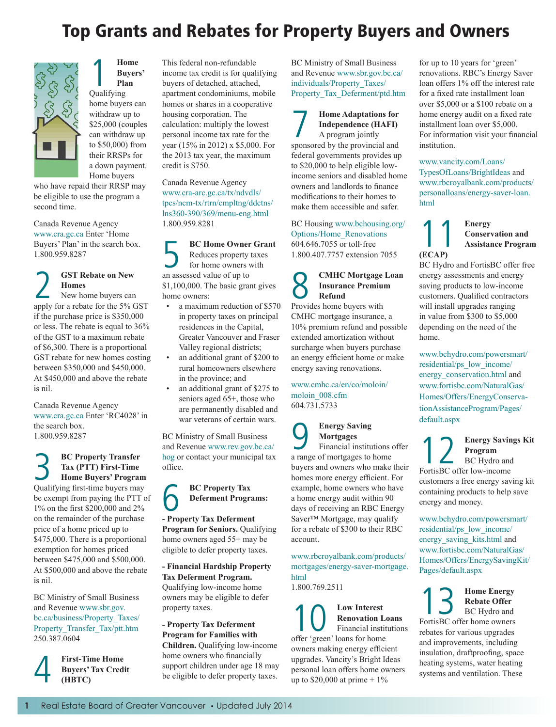# Top Grants and Rebates for Property Buyers and Owners



**1 Home**<br> **Buyers**<br> **Plan**<br>
Qualifying **Buyers' Plan**

home buyers can withdraw up to \$25,000 (couples can withdraw up to \$50,000) from their RRSPs for a down payment. Home buyers

who have repaid their RRSP may be eligible to use the program a second time.

Canada Revenue Agency [www.cra.gc.ca](http://www.cra-arc.gc.ca/) Enter 'Home Buyers' Plan' in the search box. 1.800.959.8287

## 2 **GST Rebate on New**  New home buyers can **Homes**

apply for a rebate for the 5% GST if the purchase price is \$350,000 or less. The rebate is equal to 36% of the GST to a maximum rebate of \$6,300. There is a proportional GST rebate for new homes costing between \$350,000 and \$450,000. At \$450,000 and above the rebate is nil.

Canada Revenue Agency [www.cra.gc.ca](http://www.cra-arc.gc.ca) Enter 'RC4028' in the search box. 1.800.959.8287

3 **BC Property Transfer Home Buyers' Program Tax (PTT) First-Time**  Qualifying first-time buyers may be exempt from paying the PTT of 1% on the first \$200,000 and 2% on the remainder of the purchase price of a home priced up to \$475,000. There is a proportional exemption for homes priced between \$475,000 and \$500,000. At \$500,000 and above the rebate is nil.

BC Ministry of Small Business and Revenue [www.sbr.gov.](http://www.sbr.gov.bc.ca/business/Property_Taxes/Property_Transfer_Tax/ptt.htm) [bc.ca/business/Property\\_Taxes/](http://www.sbr.gov.bc.ca/business/Property_Taxes/Property_Transfer_Tax/ptt.htm) [Property\\_Transfer\\_Tax/ptt.htm](http://www.sbr.gov.bc.ca/business/Property_Taxes/Property_Transfer_Tax/ptt.htm) 250.387.0604

**4** First-Time Home<br>Buyers' Tax Credi<br>(HBTC) **Buyers' Tax Credit (HBTC)**

This federal non-refundable income tax credit is for qualifying buyers of detached, attached, apartment condominiums, mobile homes or shares in a cooperative housing corporation. The calculation: multiply the lowest personal income tax rate for the year (15% in 2012) x \$5,000. For the 2013 tax year, the maximum credit is \$750.

#### Canada Revenue Agency [www.cra-arc.gc.ca/tx/ndvdls/](http://www.cra-arc.gc.ca/tx/ndvdls/tpcs/ncm-tx/rtrn/cmpltng/ddctns/lns360-390/369/menu-eng.html) [tpcs/ncm-tx/rtrn/cmpltng/ddctns/](http://www.cra-arc.gc.ca/tx/ndvdls/tpcs/ncm-tx/rtrn/cmpltng/ddctns/lns360-390/369/menu-eng.html) [lns360-390/369/menu-eng.html](http://www.cra-arc.gc.ca/tx/ndvdls/tpcs/ncm-tx/rtrn/cmpltng/ddctns/lns360-390/369/menu-eng.html) 1.800.959.8281

**BC Home Owner Grant**<br>Reduces property taxes<br>for home owners with<br>an assessed value of un to Reduces property taxes for home owners with an assessed value of up to \$1,100,000. The basic grant gives home owners:

- a maximum reduction of \$570 in property taxes on principal residences in the Capital, Greater Vancouver and Fraser Valley regional districts;
- an additional grant of \$200 to rural homeowners elsewhere in the province; and
- an additional grant of \$275 to seniors aged 65+, those who are permanently disabled and war veterans of certain wars.

BC Ministry of Small Business and Revenue [www.rev.gov.bc.ca/](http://www.rev.gov.bc.ca/hog) [hog](http://www.rev.gov.bc.ca/hog) or contact your municipal tax office.



**- Property Tax Deferment Program for Seniors. Qualifying** home owners aged 55+ may be eligible to defer property taxes.

**- Financial Hardship Property Tax Deferment Program.**  Qualifying low-income home owners may be eligible to defer property taxes.

**- Property Tax Deferment Program for Families with Children.** Qualifying low-income home owners who financially support children under age 18 may be eligible to defer property taxes.

BC Ministry of Small Business and Revenue [www.sbr.gov.bc.ca/](http://www.sbr.gov.bc.ca/individuals/Property_Taxes/Property_Tax_Deferment/ptd.htm) [individuals/Property\\_Taxes/](http://www.sbr.gov.bc.ca/individuals/Property_Taxes/Property_Tax_Deferment/ptd.htm) [Property\\_Tax\\_Deferment/ptd.htm](http://www.sbr.gov.bc.ca/individuals/Property_Taxes/Property_Tax_Deferment/ptd.htm)

### **Home Adaptations for Independence (HAFI)**  A program jointly

sponsored by the provincial and federal governments provides up to \$20,000 to help eligible lowincome seniors and disabled home owners and landlords to finance modifications to their homes to make them accessible and safer.

BC Housing [www.bchousing.org/](http://www.bchousing.org/Options/Home_Renovations) [Options/Home\\_Renovations](http://www.bchousing.org/Options/Home_Renovations) 604.646.7055 or toll-free 1.800.407.7757 extension 7055

### 8 **CMHC Mortgage Loan Insurance Premium Refund**

Provides home buyers with CMHC mortgage insurance, a 10% premium refund and possible extended amortization without surcharge when buyers purchase an energy efficient home or make energy saving renovations.

[www.cmhc.ca/en/co/moloin/](http://www.cmhc.ca/en/co/moloin/moloin_008.cfm) [moloin\\_008.cfm](http://www.cmhc.ca/en/co/moloin/moloin_008.cfm) 604.731.5733

## **9 Energy Saving<br>
Financial institutions offer<br>
<b>Parame of mortgages to home Mortgages**

a range of mortgages to home buyers and owners who make their homes more energy efficient. For example, home owners who have a home energy audit within 90 days of receiving an RBC Energy Saver™ Mortgage, may qualify for a rebate of \$300 to their RBC account.

[www.rbcroyalbank.com/products/](http://www.rbcroyalbank.com/mortgages/energy-saver-mortgage.html) [mortgages/energy-saver-mortgage.](http://www.rbcroyalbank.com/mortgages/energy-saver-mortgage.html) [html](http://www.rbcroyalbank.com/mortgages/energy-saver-mortgage.html) 

1.800.769.2511

10 **Low Interest**  offer 'green' loans for home **Renovation Loans**  Financial institutions owners making energy efficient upgrades. Vancity's Bright Ideas personal loan offers home owners up to \$20,000 at prime  $+1\%$ 

for up to 10 years for 'green' renovations. RBC's Energy Saver loan offers 1% off the interest rate for a fixed rate installment loan over \$5,000 or a \$100 rebate on a home energy audit on a fixed rate installment loan over \$5,000. For information visit your financial institution.

[www.vancity.com/Loans/](https://www.vancity.com/Loans/TypesOfLoans/BrightIdeas/) [TypesOfLoans/BrightIdeas](https://www.vancity.com/Loans/TypesOfLoans/BrightIdeas/) and [www.rbcroyalbank.com/products/](http://www.rbcroyalbank.com/products/personalloans/energy-saver-loan.html) [personalloans/energy-saver-loan.](http://www.rbcroyalbank.com/products/personalloans/energy-saver-loan.html) [html](http://www.rbcroyalbank.com/products/personalloans/energy-saver-loan.html)

## **1 Conserved Conserved Assistant Conservation and Assistance Program**

BC Hydro and FortisBC offer free energy assessments and energy saving products to low-income customers. Qualified contractors will install upgrades ranging in value from \$300 to \$5,000 depending on the need of the home.

**(ECAP)**

[www.bchydro.com/powersmart/](http://www.bchydro.com/powersmart/residential/ps_low_income/energy_conservation.html) [residential/ps\\_low\\_income/](http://www.bchydro.com/powersmart/residential/ps_low_income/energy_conservation.html) [energy\\_conservation.html](http://www.bchydro.com/powersmart/residential/ps_low_income/energy_conservation.html) and [www.fortisbc.com/NaturalGas/](http://www.fortisbc.com/NaturalGas/Homes/Offers/EnergyConservationAssistanceProgram/Pages/default.aspx) [Homes/Offers/EnergyConserva](http://www.fortisbc.com/NaturalGas/Homes/Offers/EnergyConservationAssistanceProgram/Pages/default.aspx)[tionAssistanceProgram/Pages/](http://www.fortisbc.com/NaturalGas/Homes/Offers/EnergyConservationAssistanceProgram/Pages/default.aspx) [default.aspx](http://www.fortisbc.com/NaturalGas/Homes/Offers/EnergyConservationAssistanceProgram/Pages/default.aspx)

**Energy Savings Kit Program** BC Hydro and FortisBC offer low-income

customers a free energy saving kit containing products to help save energy and money.

[www.bchydro.com/powersmart/](https://www.bchydro.com/powersmart/residential/ps_low_income/energy_saving_kits.html) [residential/ps\\_low\\_income/](https://www.bchydro.com/powersmart/residential/ps_low_income/energy_saving_kits.html) [energy\\_saving\\_kits.html](https://www.bchydro.com/powersmart/residential/ps_low_income/energy_saving_kits.html) and [www.fortisbc.com/NaturalGas/](http://www.fortisbc.com/NaturalGas/Homes/Offers/EnergySavingKit/Pages/default.aspx) [Homes/Offers/EnergySavingKit/](http://www.fortisbc.com/NaturalGas/Homes/Offers/EnergySavingKit/Pages/default.aspx) [Pages/default.aspx](http://www.fortisbc.com/NaturalGas/Homes/Offers/EnergySavingKit/Pages/default.aspx)

**13** Home Energy<br> **Rebate Offer**<br> **FortisBC** offer home owners **Rebate Offer** BC Hydro and rebates for various upgrades and improvements, including insulation, draftproofing, space heating systems, water heating systems and ventilation. These